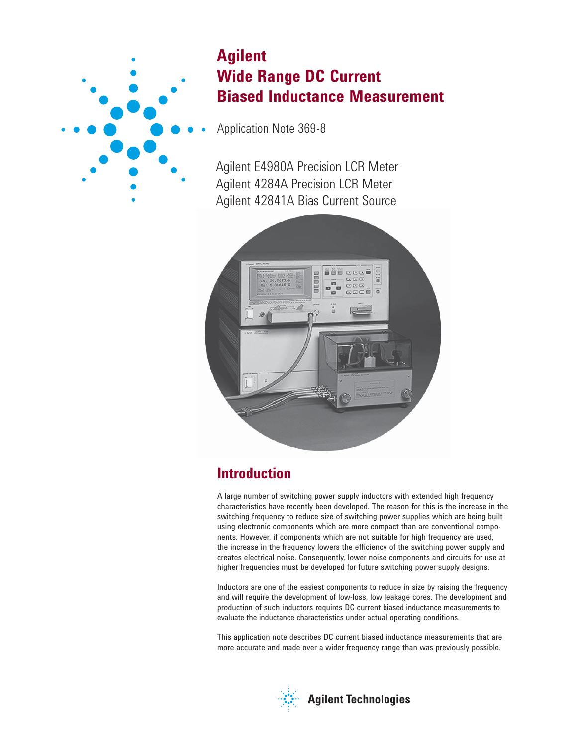

# **Agilent Wide Range DC Current Biased Inductance Measurement**

Application Note 369-8

Agilent E4980A Precision LCR Meter Agilent 4284A Precision LCR Meter Agilent 42841A Bias Current Source



# **Introduction**

A large number of switching power supply inductors with extended high frequency characteristics have recently been developed. The reason for this is the increase in the switching frequency to reduce size of switching power supplies which are being built using electronic components which are more compact than are conventional components. However, if components which are not suitable for high frequency are used, the increase in the frequency lowers the efficiency of the switching power supply and creates electrical noise. Consequently, lower noise components and circuits for use at higher frequencies must be developed for future switching power supply designs.

Inductors are one of the easiest components to reduce in size by raising the frequency and will require the development of low-loss, low leakage cores. The development and production of such inductors requires DC current biased inductance measurements to evaluate the inductance characteristics under actual operating conditions.

This application note describes DC current biased inductance measurements that are more accurate and made over a wider frequency range than was previously possible.

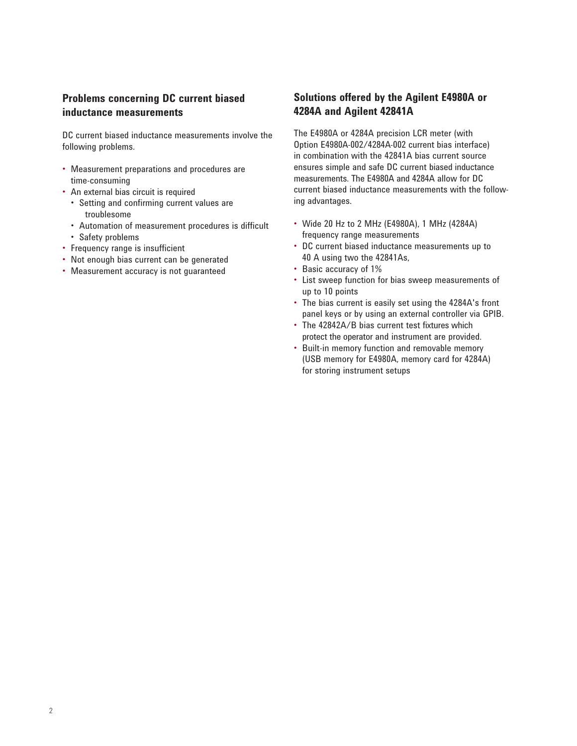### **Problems concerning DC current biased inductance measurements**

DC current biased inductance measurements involve the following problems.

- Measurement preparations and procedures are time-consuming
- An external bias circuit is required
	- Setting and confirming current values are troublesome
	- Automation of measurement procedures is difficult
	- Safety problems
- Frequency range is insufficient
- Not enough bias current can be generated
- Measurement accuracy is not guaranteed

## **Solutions offered by the Agilent E4980A or 4284A and Agilent 42841A**

The E4980A or 4284A precision LCR meter (with Option E4980A-002/4284A-002 current bias interface) in combination with the 42841A bias current source ensures simple and safe DC current biased inductance measurements. The E4980A and 4284A allow for DC current biased inductance measurements with the following advantages.

- Wide 20 Hz to 2 MHz (E4980A), 1 MHz (4284A) frequency range measurements
- DC current biased inductance measurements up to 40 A using two the 42841As,
- Basic accuracy of 1%
- List sweep function for bias sweep measurements of up to 10 points
- The bias current is easily set using the 4284A's front panel keys or by using an external controller via GPIB.
- The 42842A/B bias current test fixtures which protect the operator and instrument are provided.
- Built-in memory function and removable memory (USB memory for E4980A, memory card for 4284A) for storing instrument setups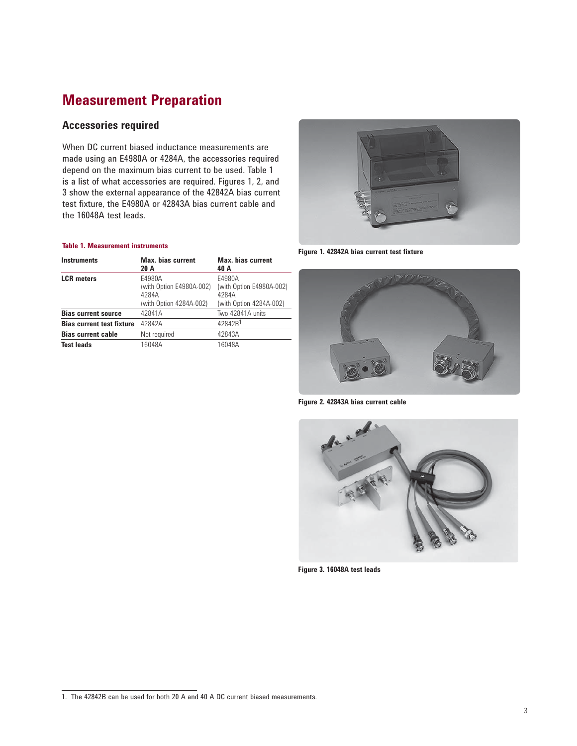# **Measurement Preparation**

### **Accessories required**

When DC current biased inductance measurements are made using an E4980A or 4284A, the accessories required depend on the maximum bias current to be used. Table 1 is a list of what accessories are required. Figures 1, 2, and 3 show the external appearance of the 42842A bias current test fixture, the E4980A or 42843A bias current cable and the 16048A test leads.

#### **Table 1. Measurement instruments**

| <b>Instruments</b>               | <b>Max.</b> bias current<br>20 A            | <b>Max.</b> bias current<br>40 A            |
|----------------------------------|---------------------------------------------|---------------------------------------------|
| <b>LCR</b> meters                | E4980A<br>(with Option E4980A-002)<br>4284A | E4980A<br>(with Option E4980A-002)<br>4284A |
|                                  | (with Option 4284A-002)                     | (with Option 4284A-002)                     |
| <b>Bias current source</b>       | 42841A                                      | Two 42841A units                            |
| <b>Bias current test fixture</b> | 42842A                                      | 42842B <sup>1</sup>                         |
| <b>Bias current cable</b>        | Not required                                | 42843A                                      |
| <b>Test leads</b>                | 16048A                                      | 16048A                                      |



**Figure 1. 42842A bias current test fixture**



**Figure 2. 42843A bias current cable**



**Figure 3. 16048A test leads**

<sup>1.</sup> The 42842B can be used for both 20 A and 40 A DC current biased measurements.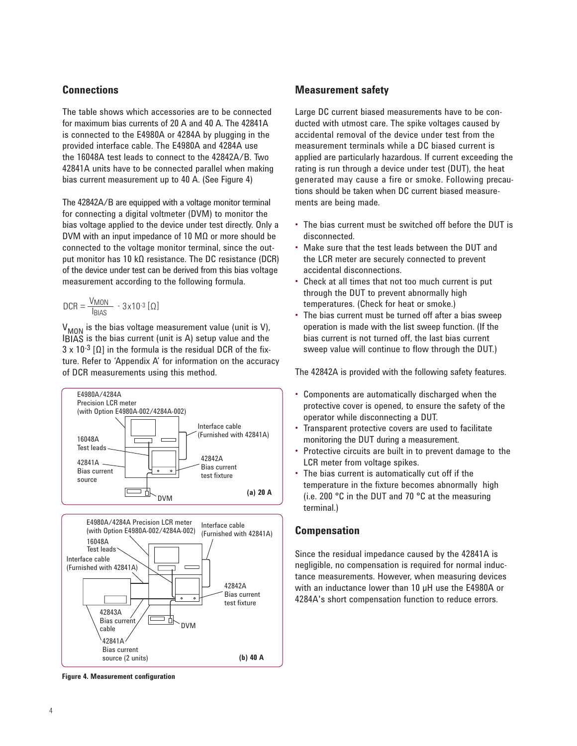### **Connections**

The table shows which accessories are to be connected for maximum bias currents of 20 A and 40 A. The 42841A is connected to the E4980A or 4284A by plugging in the provided interface cable. The E4980A and 4284A use the 16048A test leads to connect to the 42842A/B. Two 42841A units have to be connected parallel when making bias current measurement up to 40 A. (See Figure 4)

The 42842A/B are equipped with a voltage monitor terminal for connecting a digital voltmeter (DVM) to monitor the bias voltage applied to the device under test directly. Only a DVM with an input impedance of 10 MΩ or more should be connected to the voltage monitor terminal, since the output monitor has 10 kΩ resistance. The DC resistance (DCR) of the device under test can be derived from this bias voltage measurement according to the following formula.

$$
DCR = \frac{V_{MON}}{I_{BIAS}} - 3 \times 10^{-3} [\Omega]
$$

 $V_{MON}$  is the bias voltage measurement value (unit is V), IBIAS is the bias current (unit is A) setup value and the  $3 \times 10^{-3}$  [ $\Omega$ ] in the formula is the residual DCR of the fixture. Refer to 'Appendix A' for information on the accuracy of DCR measurements using this method.





**Figure 4. Measurement configuration**

### **Measurement safety**

Large DC current biased measurements have to be conducted with utmost care. The spike voltages caused by accidental removal of the device under test from the measurement terminals while a DC biased current is applied are particularly hazardous. If current exceeding the rating is run through a device under test (DUT), the heat generated may cause a fire or smoke. Following precautions should be taken when DC current biased measurements are being made.

- The bias current must be switched off before the DUT is disconnected.
- Make sure that the test leads between the DUT and the LCR meter are securely connected to prevent accidental disconnections.
- Check at all times that not too much current is put through the DUT to prevent abnormally high temperatures. (Check for heat or smoke.)
- The bias current must be turned off after a bias sweep operation is made with the list sweep function. (If the bias current is not turned off, the last bias current sweep value will continue to flow through the DUT.)

The 42842A is provided with the following safety features.

- Components are automatically discharged when the protective cover is opened, to ensure the safety of the operator while disconnecting a DUT.
- Transparent protective covers are used to facilitate monitoring the DUT during a measurement.
- Protective circuits are built in to prevent damage to the LCR meter from voltage spikes.
- The bias current is automatically cut off if the temperature in the fixture becomes abnormally high (i.e. 200 °C in the DUT and 70 °C at the measuring terminal.)

#### **Compensation**

Since the residual impedance caused by the 42841A is negligible, no compensation is required for normal inductance measurements. However, when measuring devices with an inductance lower than 10 µH use the E4980A or 4284A's short compensation function to reduce errors.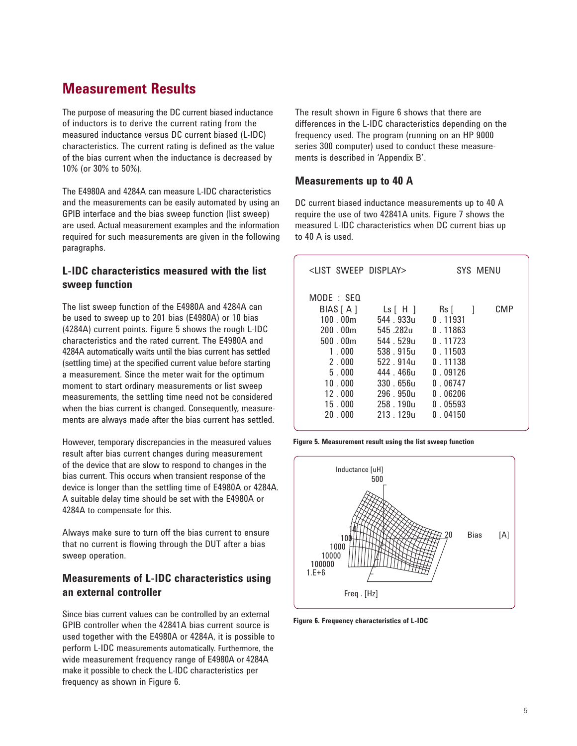## **Measurement Results**

The purpose of measuring the DC current biased inductance of inductors is to derive the current rating from the measured inductance versus DC current biased (L-IDC) characteristics. The current rating is defined as the value of the bias current when the inductance is decreased by 10% (or 30% to 50%).

The E4980A and 4284A can measure L-IDC characteristics and the measurements can be easily automated by using an GPIB interface and the bias sweep function (list sweep) are used. Actual measurement examples and the information required for such measurements are given in the following paragraphs.

### **L-IDC characteristics measured with the list sweep function**

The list sweep function of the E4980A and 4284A can be used to sweep up to 201 bias (E4980A) or 10 bias (4284A) current points. Figure 5 shows the rough L-IDC characteristics and the rated current. The E4980A and 4284A automatically waits until the bias current has settled (settling time) at the specified current value before starting a measurement. Since the meter wait for the optimum moment to start ordinary measurements or list sweep measurements, the settling time need not be considered when the bias current is changed. Consequently, measurements are always made after the bias current has settled.

However, temporary discrepancies in the measured values result after bias current changes during measurement of the device that are slow to respond to changes in the bias current. This occurs when transient response of the device is longer than the settling time of E4980A or 4284A. A suitable delay time should be set with the E4980A or 4284A to compensate for this.

Always make sure to turn off the bias current to ensure that no current is flowing through the DUT after a bias sweep operation.

### **Measurements of L-IDC characteristics using an external controller**

Since bias current values can be controlled by an external GPIB controller when the 42841A bias current source is used together with the E4980A or 4284A, it is possible to perform L-IDC measurements automatically. Furthermore, the wide measurement frequency range of E4980A or 4284A make it possible to check the L-IDC characteristics per frequency as shown in Figure 6.

The result shown in Figure 6 shows that there are differences in the L-IDC characteristics depending on the frequency used. The program (running on an HP 9000 series 300 computer) used to conduct these measurements is described in 'Appendix B'.

### **Measurements up to 40 A**

DC current biased inductance measurements up to 40 A require the use of two 42841A units. Figure 7 shows the measured L-IDC characteristics when DC current bias up to 40 A is used.

| <list display="" sweep=""></list>                                                                                                             |                                                                                                                                                          | SYS MENU                                                                                                                               |
|-----------------------------------------------------------------------------------------------------------------------------------------------|----------------------------------------------------------------------------------------------------------------------------------------------------------|----------------------------------------------------------------------------------------------------------------------------------------|
| $MODE \div SFO$<br>BIAS [ A ]<br>100.00 <sub>m</sub><br>200.00m<br>500.00m<br>1.000<br>2.000<br>5.000<br>10.000<br>12.000<br>15.000<br>20.000 | $\lfloor s \rfloor$ H $\rfloor$<br>544 933u<br>545 .282u<br>544 529u<br>538 9150<br>522 914u<br>444.466u<br>330.656u<br>296.950u<br>258.190u<br>213 129u | CMP<br>$\mathsf{Rs}$ [ ]<br>0.11931<br>0.11863<br>0.11723<br>0.11503<br>0.11138<br>0.09126<br>0.06747<br>0.06206<br>0.05593<br>0.04150 |

**Figure 5. Measurement result using the list sweep function**



**Figure 6. Frequency characteristics of L-IDC**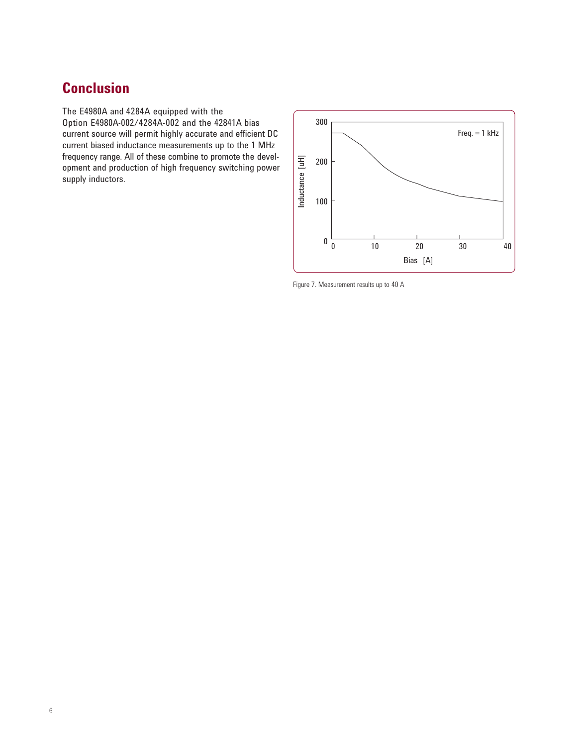# **Conclusion**

The E4980A and 4284A equipped with the Option E4980A-002/4284A-002 and the 42841A bias current source will permit highly accurate and efficient DC current biased inductance measurements up to the 1 MHz frequency range. All of these combine to promote the development and production of high frequency switching power supply inductors.



Figure 7. Measurement results up to 40 A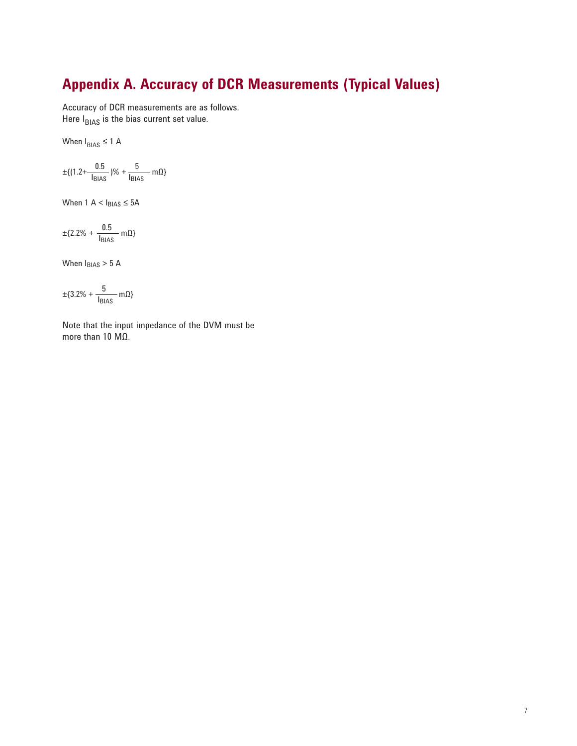# **Appendix A. Accuracy of DCR Measurements (Typical Values)**

Accuracy of DCR measurements are as follows. Here  $I<sub>BIAS</sub>$  is the bias current set value.

When  $I_{BIAS} \leq 1$  A

$$
\pm \{ (1.2 + \frac{0.5}{I_{\text{BIAS}}})\% + \frac{5}{I_{\text{BIAS}}} m\Omega \}
$$

When  $1 A < I_{BIAS} \leq 5A$ 

$$
\pm \{2.2\% + \frac{0.5}{I_{\text{BIAS}}} \text{ m}\Omega\}
$$

When  $I_{\text{BIAS}} > 5$  A

$$
\pm \{3.2\% + \frac{5}{\mathsf{I}_{\mathsf{BIAS}}} \mathsf{m}\Omega\}
$$

Note that the input impedance of the DVM must be more than 10 MΩ.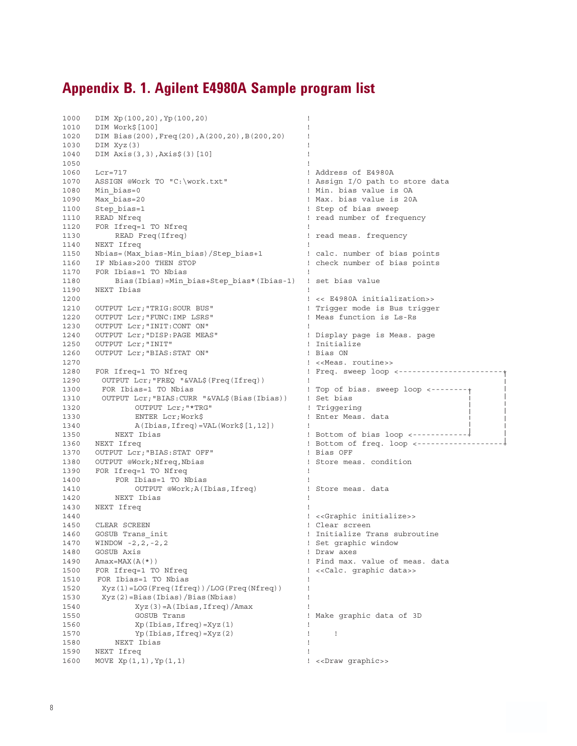## **Appendix B. 1. Agilent E4980A Sample program list**

```
1000 DIM Xp(100,20),Yp(100,20) !
1010 DIM Work$[100] !
1020 DIM Bias(200),Freq(20),A(200,20),B(200,20) !
1030 DIM Xyz(3) !
1040 DIM Axis(3,3),Axis$(3)[10] !
1050 \qquad \qquad \qquad \qquad \qquad \qquad \qquad \qquad \qquad \qquad \qquad \qquad \qquad \qquad \qquad \qquad \qquad \qquad \qquad \qquad \qquad \qquad \qquad \qquad \qquad \qquad \qquad \qquad \qquad \qquad \qquad \qquad \qquad \qquad \qquad \qquad \qquad1060 Lcr=717 <br>1070 ASSIGN @Work TO "C:\work.txt" 1 Assign I/O path to store data
1070 ASSIGN @Work TO "C:\work.txt"
1080 Min_bias=0 ! Min. bias value is OA
1090 Max_bias=20 ! Max. bias value is 20A
1100 Step_bias=1 \qquad \qquad 1100 Step_bias=1 \qquad \qquad 1110 READ Nfreq \qquad \qquad 1110 READ Nfreq
                                                    ! read number of frequency
1120 FOR Ifreq=1 TO Nfreq
1130 READ Freq(Ifreq) ! read meas. frequency
1140 NEXT Ifreq<br>1150 Nbias=(Max_bias-Min_bias)/Step_bias+1 12 ealc. number of bias points<br>1160 IF Nbias>200 THEN STOP 1 check number of bias points
1150 Nbias=(Max_bias-Min_bias)/Step_bias+1 ! calc. number of bias points
1160 IF Nbias>200 THEN STOP ! check number of bias points
1170 FOR Ibias=1 TO Nbias
1180 Bias(Ibias)=Min_bias+Step_bias*(Ibias-1) ! set bias value
1190 NEXT Ibias !
1200 ! << E4980A initialization>>
1210 OUTPUT Lcr; "TRIG: SOUR BUS" ! Trigger mode is Bus trigger<br>1220 OUTPUT Lcr; "FUNC: IMP LSRS" ! Meas function is Ls-Rs
1220 OUTPUT Lcr; "FUNC: IMP LSRS"
1230 OUTPUT LCr; "INIT: CONT ON" !
1240 OUTPUT Lcr;"DISP:PAGE MEAS" ! Display page is Meas. page
1250 OUTPUT Lcr; "INIT" <br>1260 OUTPUT Lcr; "BIAS: STAT ON" ! Bias ON
1260 OUTPUT Lcr; "BIAS: STAT ON"
1270 ! <<Meas. routine>>
                                                    ! Freq. sweep loop <-----------------------
1290 OUTPUT Lcr;"FREQ "&VAL$(Freq(Ifreq)) ! 
1300 FOR Ibias=1 TO Nbias ! Top of bias. sweep loop <--------+ 
      1310 OUTPUT Lcr;"BIAS:CURR "&VAL$(Bias(Ibias)) ! Set bias
1320 OUTPUT Lcr; "*TRG" ! Triggering
1330 ENTER Lcr;Work$ ! Enter Meas. data
1340 A(Ibias,Ifreq)=VAL(Work$[1,12]) !<br>1350 NEXT Ibias !
1350 NEXT Ibias ! Bottom of bias loop <------------+ 
                                                    1360 NEXT Ifreq ! Bottom of freq. loop <-------------------+
1370 OUTPUT Lcr; "BIAS:STAT OFF" 1380 PF ! Bias OFF ! Bias OFF ! Store meas. condition
1380 OUTPUT @Work;Nfreq,Nbias
1390 FOR Ifreq=1 TO Nfreq
1400 FOR Ibias=1 TO Nbias<br>1410 0UTPUT @Work;A(Ibias,Ifreq) 1410 91 Heas. data
1410 OUTPUT @Work;A(Ibias,Ifreq)<br>1420 NEXT Ibias
         NEXT Ibias
1430 NEXT Ifreq
1440 ! <<Graphic initialize>>
1450 CLEAR SCREEN 1450 Philosophy 2014 2022 Philosophy 2022 2023
1460 GOSUB Trans_init<br>1470 WINDOW -2,2,-2,2 <br>1991 Set graphic window
1470 WINDOW -2, 2, 2, -2, 21480 GOSUB Axis ! Draw axes
1490 Amax=MAX(A(*))<br>1500 FOR Ifreq=1 TO Nfreq entitled to the second to the second to the second to the second to the second to th<br>1500 FOR Ifreq=1 TO Nfreq entitled to the second to the second to the second to the second 
1500 FOR Ifreq=1 TO Nfreq \qquad \qquad ! << Calc. graphic data>>
1510 FOR Ibias=1 TO Nbias
1520 Xyz(1)=LOG(Freq(Ifreq))/LOG(Freq(Nfreq)) !
1530 Xyz(2)=Bias(Ibias)/Bias(Nbias) !
1540 Xyz(3)=A(Ibias, Ifreq)/Amax
1550 GOSUB Trans ! Make graphic data of 3D
1560 Xp(Ibias, Ifreq) = Xyz(1) !<br>1570 Yp(Ibias, Ifreq) = Xyz(2) !
       1570 When the Captain Corporation of the Captain Corporation of the Captain Corporation of the Captain Corporation of the NEXT Ibias
1580 NEXT Ibias !
1590 NEXT Ifreq !
1600 MOVE Xp(1,1),Yp(1,1) ! <<Draw graphic>>
```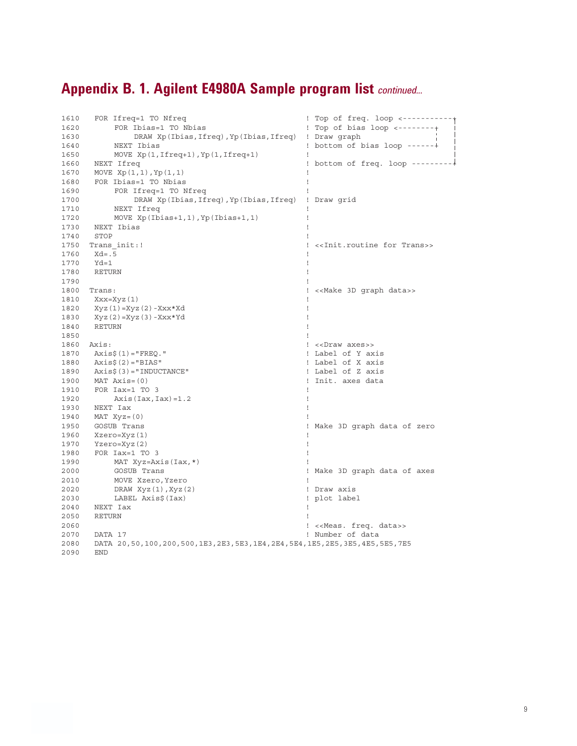# **Appendix B. 1. Agilent E4980A Sample program list** *continued...*

| 1610 | FOR Ifreq=1 TO Nfreq                                                   | ! Top of freq. loop <-----------                          |
|------|------------------------------------------------------------------------|-----------------------------------------------------------|
| 1620 | FOR Ibias=1 TO Nbias                                                   | ! Top of bias loop $\leftarrow$ --------+                 |
| 1630 | DRAW Xp(Ibias, Ifreq), Yp(Ibias, Ifreq)                                | ! Draw graph                                              |
| 1640 | NEXT Ibias                                                             | $: bottom of bias loop --- - - -$                         |
| 1650 | MOVE $Xp(1, 1freq+1)$ , $Yp(1, 1freq+1)$                               | 1                                                         |
| 1660 | NEXT Ifreq                                                             | ! bottom of freq. loop --------                           |
| 1670 | MOVE $Xp(1,1)$ , $Yp(1,1)$                                             |                                                           |
| 1680 | FOR Ibias=1 TO Nbias                                                   |                                                           |
| 1690 | FOR Ifreq=1 TO Nfreq                                                   |                                                           |
| 1700 | DRAW Xp(Ibias, Ifreq), Yp(Ibias, Ifreq) ! Draw grid                    |                                                           |
| 1710 | NEXT Ifreq                                                             |                                                           |
| 1720 | MOVE $Xp(Ibias+1, 1)$ , $Yp(Ibias+1, 1)$                               |                                                           |
| 1730 | NEXT Ibias                                                             |                                                           |
| 1740 | STOP                                                                   |                                                           |
| 1750 | Trans init:!                                                           | < <init.routine for="" trans="">&gt;<br/>T</init.routine> |
| 1760 | $Xd = .5$                                                              | л                                                         |
| 1770 | $Yd=1$                                                                 |                                                           |
| 1780 | RETURN                                                                 |                                                           |
| 1790 |                                                                        |                                                           |
| 1800 | Trans:                                                                 | ! < <make 3d="" data="" graph="">&gt;</make>              |
| 1810 | Xxx=Xyz (1)                                                            |                                                           |
| 1820 |                                                                        |                                                           |
| 1830 | $Xyz(1) = Xyz(2) - Xxx*Xd$                                             |                                                           |
| 1840 | $Xyz(2) = Xyz(3) - XXX*Yd$<br>RETURN                                   |                                                           |
| 1850 |                                                                        |                                                           |
| 1860 | Axis:                                                                  | ! < <draw axes="">&gt;</draw>                             |
| 1870 |                                                                        | ! Label of Y axis                                         |
|      | $Axis$(1) = "FREQ."$                                                   | ! Label of X axis                                         |
| 1880 | $Axis$ $(2) = "BIAS"$                                                  | ! Label of Z axis                                         |
| 1890 | $AxiS(3) = "INDUCTANCE"$<br>$MAT \; Axis = (0)$                        | Init. axes data<br>Τ.                                     |
| 1900 |                                                                        | л                                                         |
| 1910 | FOR Iax=1 TO 3                                                         |                                                           |
| 1920 | $Axis (Iax, Iax) = 1.2$                                                |                                                           |
| 1930 | NEXT Iax                                                               |                                                           |
| 1940 | $MAT$ $Xyz = (0)$                                                      |                                                           |
| 1950 | GOSUB Trans                                                            | ! Make 3D graph data of zero                              |
| 1960 | Xzero=Xyz(1)                                                           |                                                           |
| 1970 | $Yzero=xyz(2)$                                                         |                                                           |
| 1980 | FOR Iax=1 TO 3                                                         |                                                           |
| 1990 | MAT $Xyz = Axis(Iax, *)$                                               |                                                           |
| 2000 | GOSUB Trans                                                            | ! Make 3D graph data of axes                              |
| 2010 | MOVE Xzero, Yzero                                                      | J.                                                        |
| 2020 | DRAW $Xyz(1)$ , $Xyz(2)$                                               | ! Draw axis                                               |
| 2030 | LABEL Axis\$(Iax)                                                      | ! plot label                                              |
| 2040 | NEXT Iax                                                               |                                                           |
| 2050 | RETURN                                                                 |                                                           |
| 2060 |                                                                        | ! << Meas. freq. data>>                                   |
| 2070 | DATA 17                                                                | ! Number of data                                          |
| 2080 | DATA 20,50,100,200,500,1E3,2E3,5E3,1E4,2E4,5E4,1E5,2E5,3E5,4E5,5E5,7E5 |                                                           |
| 2090 | <b>END</b>                                                             |                                                           |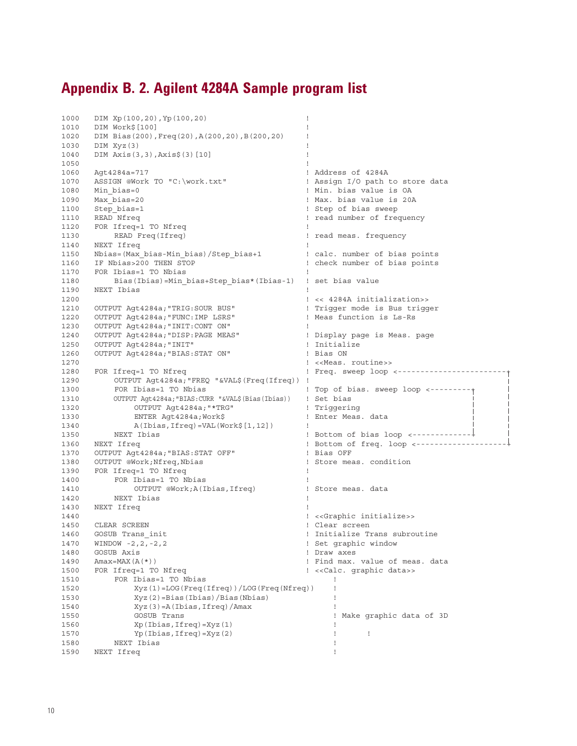## **Appendix B. 2. Agilent 4284A Sample program list**

```
1000 DIM Xp(100,20),Yp(100,20) !
1010 DIM Work$[100] !
1020 DIM Bias(200),Freq(20),A(200,20),B(200,20) !
1030 DIM Xyz(3) !
1040 DIM Axis(3,3),Axis$(3)[10] !
1050 \qquad \qquad \qquad \qquad \qquad \qquad \qquad \qquad \qquad \qquad \qquad \qquad \qquad \qquad \qquad \qquad \qquad \qquad \qquad \qquad \qquad \qquad \qquad \qquad \qquad \qquad \qquad \qquad \qquad \qquad \qquad \qquad \qquad \qquad \qquad \qquad \qquad1060 Agt4284a=717 <br>1070 ASSIGN @Work TO "C:\work.txt" 1070 ASSIGN @Work TO "C:\work.txt" 1 Assign I/O path to store data
1070 ASSIGN @Work TO "C:\work.txt"<br>1080 Min_bias=0
                                                 ! Min. bias value is OA
1090 Max_bias=20 ! Max. bias value is 20A
1100 Step_bias=1 <br>1110 READ Nfreq 1110 READ 1990 PM 1 2010 PM 1 2010 PM 1 2010 PM 1 2010 PM 1 2010 PM 1 2010 PM 1 2010 PM 1 2010<br>1 2010 PM 1 2010 PM 1 2010 PM 1 2010 PM 1 2010 PM 1 2010 PM 1 2010 PM 1 2010 PM 1 2010 PM 1 2
      1110 READ Nfreq ! read number of frequency
1120 FOR Ifreq=1 TO Nfreq 200 minutes
1130 READ Freq(Ifreq) ! read meas. frequency
1140 NEXT Ifreq<br>1150 Nbias=(Max_bias-Min_bias)/Step_bias+1 1150 ealc. number of bias points
1150 Nbias=(Max_bias-Min_bias)/Step_bias+1
1160 IF Nbias>200 THEN STOP ! check number of bias points
1170 FOR Ibias=1 TO Nbias
1180 Bias(Ibias)=Min_bias+Step_bias*(Ibias-1) ! set bias value
1190 NEXT Ibias !
1200 ! << 4284A initialization>>
1210 OUTPUT Agt4284a; "TRIG: SOUR BUS" | Trigger mode is Bus trigger<br>1220 OUTPUT Aqt4284a; "FUNC: IMP LSRS" | Meas function is Ls-Rs
1220 OUTPUT Agt4284a;"FUNC:IMP LSRS" ! Meas function is Ls-Rs
1230 OUTPUT Agt4284a; "INIT: CONT ON"
1240 OUTPUT Agt4284a;"DISP:PAGE MEAS" ! Display page is Meas. page
1250 OUTPUT Agt4284a;"INIT" ! Initialize
1260 OUTPUT Agt4284a;"BIAS:STAT ON" ! Bias ON
1270 <br>1280    FOR Ifreq=1 TO Nfreq    FOR    Freq. sweep loop
                                                  ! Freq. sweep loop <-------------------------+
1290 OUTPUT Agt4284a;"FREQ "&VAL$(Freq(Ifreq)) ! 
1300 FOR Ibias=1 TO Nbias | 1300 POR Ibias=1 TO Nbias | 1310 CUTPUT Agt4284a; "BIAS: CURR "& VAL$(Bias(Ibias) | 1310 CUTPUT Agt4284a; "BIAS: CURR "& VAL$(Bias(Ibias) | 1310 CUTPUT Agt4284a; "BIAS: CURR "& VAL$(Bias(Ibias) 
        1310 OUTPUT Agt4284a;"BIAS:CURR "&VAL$(Bias(Ibias)) ! Set bias 
1320 OUTPUT Agt4284a; "*TRG" | Triggering<br>1330     ENTER Agt4284a; Work$                         ! Enter Meas. data
1330 ENTER Agt4284a;Work$ ! Enter Meas. data 
1340 A(Ibias,Ifreq)=VAL(Work$[1,12]) !
1350 NEXT Ibias ! Bottom of bias loop <-------------+ 
                                                 ! Bottom of freq. loop <-----------------------+
1370 OUTPUT Agt4284a;"BIAS:STAT OFF" ! Bias OFF
1380 OUTPUT @Work;Nfreq,Nbias ! Store meas. condition
1390 FOR Ifreq=1 TO Nfreq
1400 FOR Ibias=1 TO Nbias<br>1410 0UTPUT @Work;A(I)
1410 OUTPUT @Work;A(Ibias,Ifreq) ! Store meas. data
1420 NEXT Ibias !
1430 NEXT Ifreq
1440 ! <<Graphic initialize>>
1450 CLEAR SCREEN ! Clear screen
                                                  ! Initialize Trans subroutine
1470 WINDOW -2, 2, -2, 2 \hspace{1.5cm} 1. Set graphic window
1480 GOSUB Axis ! Draw axes
1490 Amax=MAX(A(*)) ! Find max. value of meas. data
1500 FOR Ifreq=1 TO Nfreq \blacksquare : << Calc. graphic data>>
1510 FOR Ibias=1 TO Nbias
1520 Xyz(1)=LOG(Freq(Ifreq))/LOG(Freq(Nfreq)) !
1530 Xyz(2)=Bias(Ibias)/Bias(Nbias) !
1540 Xyz(3) = A(Ibias,Ifreq)/Amax<br>1550 GOSUB Trans
1550 GOSUB Trans ! Make graphic data of 3D
1560 Xp(Ibias, Ifreq) = Xyz(1) !
1570 Yp(Ibias, Ifreq)=Xyz(2) !
1580 NEXT Ibias !
1590 NEXT Ifreq !
```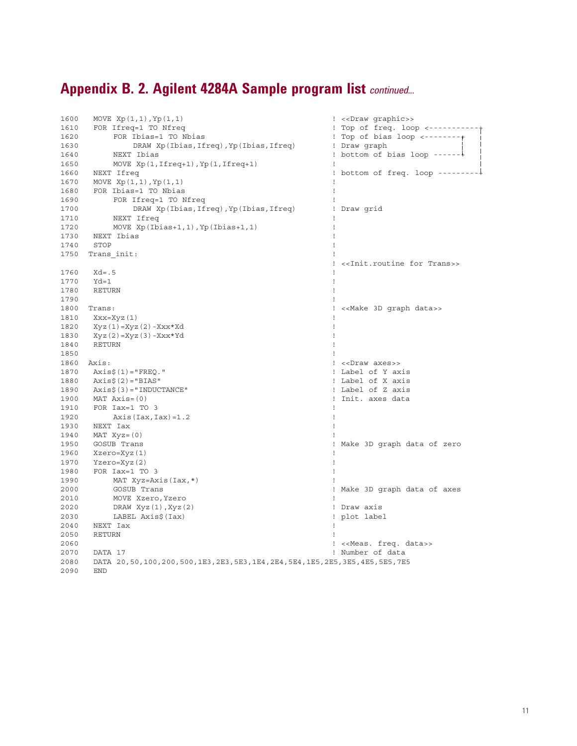# **Appendix B. 2. Agilent 4284A Sample program list** *continued...*

| 1600 | MOVE $Xp(1,1)$ , $Yp(1,1)$                                             | ! < <draw graphic="">&gt;</draw>                      |
|------|------------------------------------------------------------------------|-------------------------------------------------------|
| 1610 | FOR Ifreq=1 TO Nfreq                                                   | ! Top of freq. loop <---------                        |
| 1620 | FOR Ibias=1 TO Nbias                                                   | ! Top of bias loop $\leftarrow$ --------+             |
| 1630 | DRAW Xp(Ibias, Ifreq), Yp(Ibias, Ifreq)                                | ! Draw graph                                          |
| 1640 | NEXT Ibias                                                             | ! bottom of bias loop ------+                         |
| 1650 | MOVE $Xp(1, 1freq+1)$ , $Yp(1, 1freq+1)$                               | J.                                                    |
| 1660 | NEXT Ifreq                                                             | ! bottom of freq. loop ---------+                     |
| 1670 | MOVE $Xp(1,1)$ , $Yp(1,1)$                                             |                                                       |
| 1680 | FOR Ibias=1 TO Nbias                                                   |                                                       |
| 1690 | FOR Ifreq=1 TO Nfreq                                                   |                                                       |
| 1700 | DRAW Xp(Ibias, Ifreq), Yp(Ibias, Ifreq)                                | ! Draw grid                                           |
| 1710 | NEXT Ifreq                                                             |                                                       |
| 1720 | MOVE $Xp(Ibias+1,1)$ , $Yp(Ibias+1,1)$                                 |                                                       |
| 1730 | NEXT Ibias                                                             | Ţ                                                     |
| 1740 | STOP                                                                   |                                                       |
| 1750 | Trans init:                                                            |                                                       |
|      |                                                                        | ! < <init.routine for="" trans="">&gt;</init.routine> |
| 1760 | $Xd = .5$                                                              | $\mathbf{I}$                                          |
| 1770 | $Yd=1$                                                                 | $\mathbf{I}$                                          |
| 1780 | RETURN                                                                 | -1                                                    |
| 1790 |                                                                        | T                                                     |
| 1800 | Trans:                                                                 | ! < <make 3d="" data="" graph="">&gt;</make>          |
| 1810 | Xxx=Xyz(1)                                                             | Ţ                                                     |
| 1820 |                                                                        | -1                                                    |
| 1830 | Xyz (1) =Xyz (2) -Xxx*Xd                                               | -1                                                    |
| 1840 | $Xyz(2) = Xyz(3) - XXX*Yd$<br>RETURN                                   | -1                                                    |
| 1850 |                                                                        | $\mathsf{I}$                                          |
| 1860 | Axis:                                                                  | ! << Draw axes>>                                      |
| 1870 |                                                                        | ! Label of Y axis                                     |
| 1880 | Axis\$(1)="FREQ."<br>$Axis$ $(2) = "BIAS"$                             | ! Label of X axis                                     |
| 1890 |                                                                        | ! Label of Z axis                                     |
|      | $Axis$ \$ $(3) = "INDUCTANCE"$                                         |                                                       |
| 1900 | $MAT \; Axis = (0)$                                                    | ! Init. axes data                                     |
| 1910 | FOR Iax=1 TO 3                                                         | T<br>$\mathbf{I}$                                     |
| 1920 | $Axis (Iax, Iax) = 1.2$                                                |                                                       |
| 1930 | NEXT Iax                                                               |                                                       |
| 1940 | $MAT$ $Xyz = (0)$                                                      |                                                       |
| 1950 | GOSUB Trans                                                            | ! Make 3D graph data of zero                          |
| 1960 | Xzero=Xyz(1)                                                           | -1                                                    |
| 1970 | Yzero=Xyz(2)                                                           | 1                                                     |
| 1980 | FOR Iax=1 TO 3                                                         | $\mathbf{I}$                                          |
| 1990 | MAT $Xyz = Axis (Iax, *)$                                              |                                                       |
| 2000 | GOSUB Trans                                                            | ! Make 3D graph data of axes                          |
| 2010 | MOVE Xzero, Yzero                                                      |                                                       |
| 2020 | DRAW $Xyz(1)$ , $Xyz(2)$                                               | ! Draw axis                                           |
| 2030 | LABEL Axis\$(Iax)                                                      | ! plot label                                          |
| 2040 | NEXT Iax                                                               | T                                                     |
| 2050 | RETURN                                                                 |                                                       |
| 2060 |                                                                        | ! << Meas. freq. data>>                               |
| 2070 | DATA 17                                                                | ! Number of data                                      |
| 2080 | DATA 20,50,100,200,500,1E3,2E3,5E3,1E4,2E4,5E4,1E5,2E5,3E5,4E5,5E5,7E5 |                                                       |
| 2090 | <b>END</b>                                                             |                                                       |